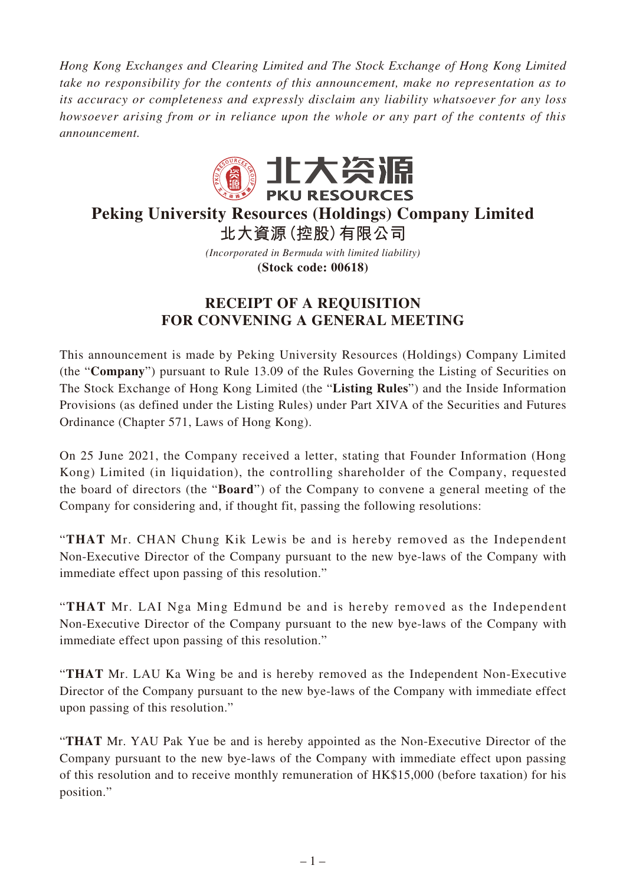*Hong Kong Exchanges and Clearing Limited and The Stock Exchange of Hong Kong Limited take no responsibility for the contents of this announcement, make no representation as to its accuracy or completeness and expressly disclaim any liability whatsoever for any loss howsoever arising from or in reliance upon the whole or any part of the contents of this announcement.*



## **Peking University Resources (Holdings) Company Limited 北大資源(控股)有限公司**

*(Incorporated in Bermuda with limited liability)*

**(Stock code: 00618)**

## **RECEIPT OF A REQUISITION FOR CONVENING A GENERAL MEETING**

This announcement is made by Peking University Resources (Holdings) Company Limited (the "**Company**") pursuant to Rule 13.09 of the Rules Governing the Listing of Securities on The Stock Exchange of Hong Kong Limited (the "**Listing Rules**") and the Inside Information Provisions (as defined under the Listing Rules) under Part XIVA of the Securities and Futures Ordinance (Chapter 571, Laws of Hong Kong).

On 25 June 2021, the Company received a letter, stating that Founder Information (Hong Kong) Limited (in liquidation), the controlling shareholder of the Company, requested the board of directors (the "**Board**") of the Company to convene a general meeting of the Company for considering and, if thought fit, passing the following resolutions:

"**THAT** Mr. CHAN Chung Kik Lewis be and is hereby removed as the Independent Non-Executive Director of the Company pursuant to the new bye-laws of the Company with immediate effect upon passing of this resolution."

"**THAT** Mr. LAI Nga Ming Edmund be and is hereby removed as the Independent Non-Executive Director of the Company pursuant to the new bye-laws of the Company with immediate effect upon passing of this resolution."

"**THAT** Mr. LAU Ka Wing be and is hereby removed as the Independent Non-Executive Director of the Company pursuant to the new bye-laws of the Company with immediate effect upon passing of this resolution."

"**THAT** Mr. YAU Pak Yue be and is hereby appointed as the Non-Executive Director of the Company pursuant to the new bye-laws of the Company with immediate effect upon passing of this resolution and to receive monthly remuneration of HK\$15,000 (before taxation) for his position."